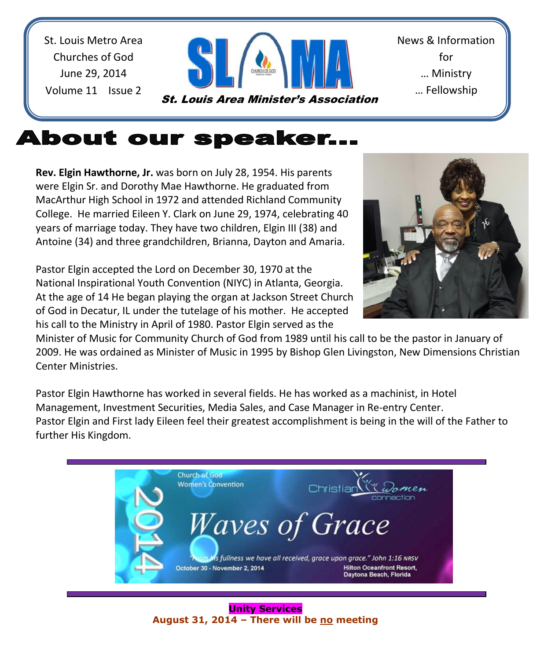St. Louis Metro Area Churches of God June 29, 2014 Volume 11 Issue 2



News & Information for … Ministry … Fellowship

# **About our speaker...**

**Rev. Elgin Hawthorne, Jr.** was born on July 28, 1954. His parents were Elgin Sr. and Dorothy Mae Hawthorne. He graduated from MacArthur High School in 1972 and attended Richland Community College. He married Eileen Y. Clark on June 29, 1974, celebrating 40 years of marriage today. They have two children, Elgin III (38) and Antoine (34) and three grandchildren, Brianna, Dayton and Amaria.

Pastor Elgin accepted the Lord on December 30, 1970 at the National Inspirational Youth Convention (NIYC) in Atlanta, Georgia. At the age of 14 He began playing the organ at Jackson Street Church of God in Decatur, IL under the tutelage of his mother. He accepted his call to the Ministry in April of 1980. Pastor Elgin served as the



Minister of Music for Community Church of God from 1989 until his call to be the pastor in January of 2009. He was ordained as Minister of Music in 1995 by Bishop Glen Livingston, New Dimensions Christian Center Ministries.

Pastor Elgin Hawthorne has worked in several fields. He has worked as a machinist, in Hotel Management, Investment Securities, Media Sales, and Case Manager in Re-entry Center. Pastor Elgin and First lady Eileen feel their greatest accomplishment is being in the will of the Father to further His Kingdom.

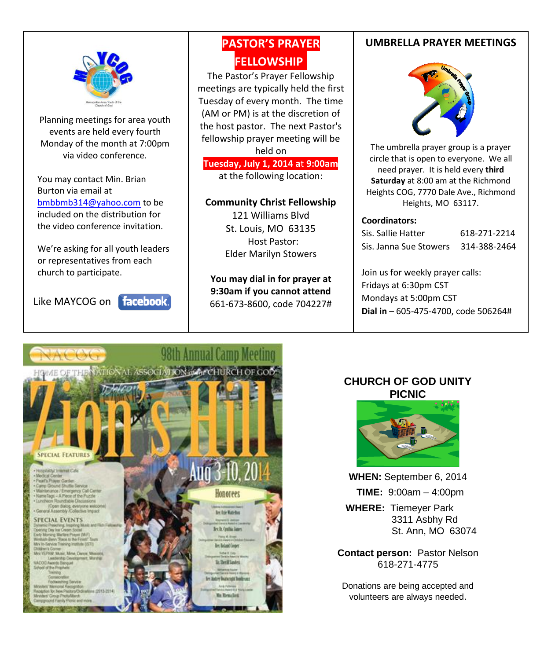

 $\overline{\phantom{a}}$  $\overline{\phantom{a}}$ 

> Planning meetings for area youth events are held every fourth Monday of the month at 7:00pm via video conference.

You may contact Min. Brian Burton via email at [bmbbmb314@yahoo.com](mailto:bmbbmb314@yahoo.com) to be included on the distribution for the video conference invitation.

We're asking for all youth leaders or representatives from each church to participate.

Like MAYCOG on **facebook**.

### **PASTOR'S PRAYER FELLOWSHIP.**

 meetings are typically held the first The Pastor's Prayer Fellowship Tuesday of every month. The time (AM or PM) is at the discretion of the host pastor. The next Pastor's fellowship prayer meeting will be held on

**Tuesday, July 1, 2014 a**t **9:00am** at the following location:

#### **Community Christ Fellowship**

121 Williams Blvd St. Louis, MO 63135 Host Pastor: Elder Marilyn Stowers

**You may dial in for prayer at 9:30am if you cannot attend** 661-673-8600, code 704227#

### **UMBRELLA PRAYER MEETINGS**



The umbrella prayer group is a prayer circle that is open to everyone. We all need prayer. It is held every **third Saturday** at 8:00 am at the Richmond Heights COG, 7770 Dale Ave., Richmond Heights, MO 63117.

#### **Coordinators:**

| Sis. Sallie Hatter     | 618-271-2214 |
|------------------------|--------------|
| Sis. Janna Sue Stowers | 314-388-2464 |

Join us for weekly prayer calls: Fridays at 6:30pm CST Mondays at 5:00pm CST **Dial in** – 605-475-4700, code 506264#



### **CHURCH OF GOD UNITY PICNIC**



**WHEN:** September 6, 2014  **TIME:** 9:00am – 4:00pm

 **WHERE:** Tiemeyer Park 3311 Asbhy Rd St. Ann, MO 63074

**Contact person:** Pastor Nelson 618-271-4775

Donations are being accepted and volunteers are always needed.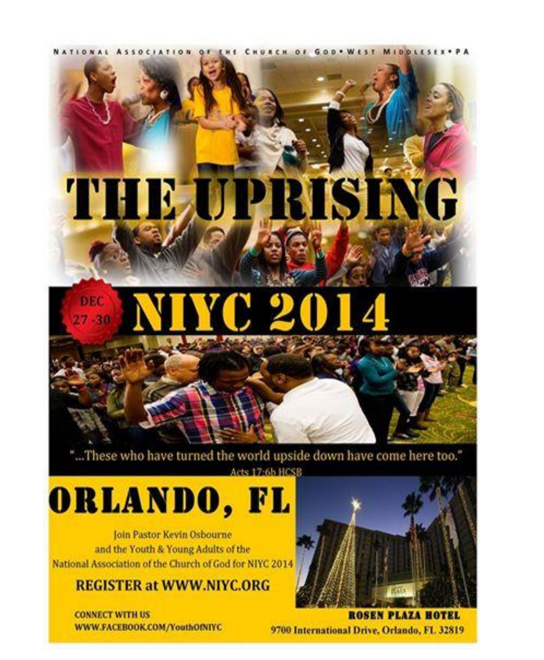NATIONAL ASSOCIATION OF THE CHURCH OF GOD. WEST MIDDLESEX.PA



### DIS6 C 2  $7 - 30$

"...These who have turned the world upside down have come here too." Acts 17:6b HCSB

ORLANDO, FL

Join Pastor Kevin Osbourne and the Youth & Young Adults of the National Association of the Church of God for NIYC 2014

**REGISTER at WWW.NIYC.ORG** 

**CONNECT WITH US** WWW.FACEBOOK.COM/YouthOfNIYC



**ROSEN PLAZA HOTEL** 9700 International Drive, Orlando, FL 32819